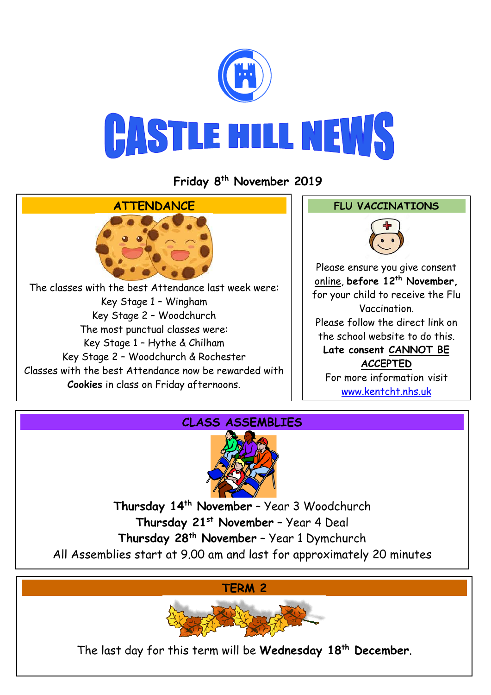

## **CASTLE HILL NEWS**

## **Friday 8 th November 2019**





**Thursday 14th November** – Year 3 Woodchurch **Thursday 21st November** – Year 4 Deal **Thursday 28th November** – Year 1 Dymchurch All Assemblies start at 9.00 am and last for approximately 20 minutes

**TERM 2**



The last day for this term will be **Wednesday 18th December**.